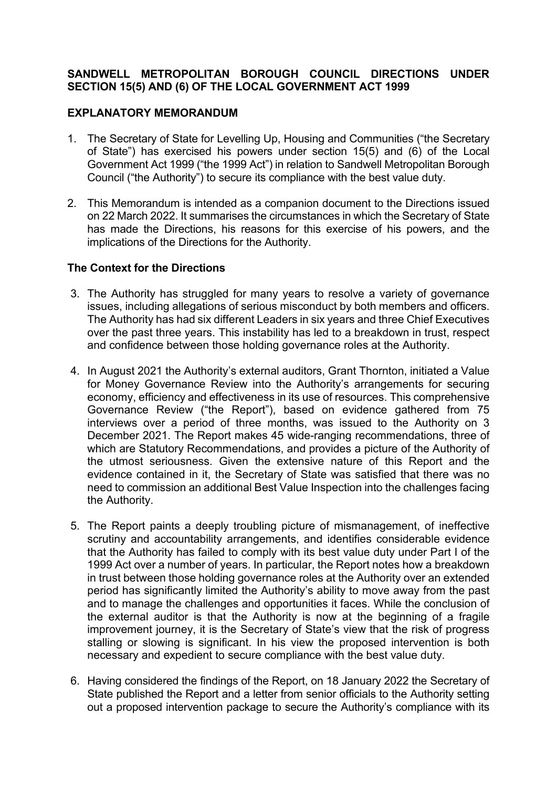## **SANDWELL METROPOLITAN BOROUGH COUNCIL DIRECTIONS UNDER SECTION 15(5) AND (6) OF THE LOCAL GOVERNMENT ACT 1999**

## **EXPLANATORY MEMORANDUM**

- 1. The Secretary of State for Levelling Up, Housing and Communities ("the Secretary of State") has exercised his powers under section 15(5) and (6) of the Local Government Act 1999 ("the 1999 Act") in relation to Sandwell Metropolitan Borough Council ("the Authority") to secure its compliance with the best value duty.
- 2. This Memorandum is intended as a companion document to the Directions issued on 22 March 2022. It summarises the circumstances in which the Secretary of State has made the Directions, his reasons for this exercise of his powers, and the implications of the Directions for the Authority.

## **The Context for the Directions**

- 3. The Authority has struggled for many years to resolve a variety of governance issues, including allegations of serious misconduct by both members and officers. The Authority has had six different Leaders in six years and three Chief Executives over the past three years. This instability has led to a breakdown in trust, respect and confidence between those holding governance roles at the Authority.
- 4. In August 2021 the Authority's external auditors, Grant Thornton, initiated a Value for Money Governance Review into the Authority's arrangements for securing economy, efficiency and effectiveness in its use of resources. This comprehensive Governance Review ("the Report"), based on evidence gathered from 75 interviews over a period of three months, was issued to the Authority on 3 December 2021. The Report makes 45 wide-ranging recommendations, three of which are Statutory Recommendations, and provides a picture of the Authority of the utmost seriousness. Given the extensive nature of this Report and the evidence contained in it, the Secretary of State was satisfied that there was no need to commission an additional Best Value Inspection into the challenges facing the Authority.
- 5. The Report paints a deeply troubling picture of mismanagement, of ineffective scrutiny and accountability arrangements, and identifies considerable evidence that the Authority has failed to comply with its best value duty under Part I of the 1999 Act over a number of years. In particular, the Report notes how a breakdown in trust between those holding governance roles at the Authority over an extended period has significantly limited the Authority's ability to move away from the past and to manage the challenges and opportunities it faces. While the conclusion of the external auditor is that the Authority is now at the beginning of a fragile improvement journey, it is the Secretary of State's view that the risk of progress stalling or slowing is significant. In his view the proposed intervention is both necessary and expedient to secure compliance with the best value duty.
- 6. Having considered the findings of the Report, on 18 January 2022 the Secretary of State published the Report and a letter from senior officials to the Authority setting out a proposed intervention package to secure the Authority's compliance with its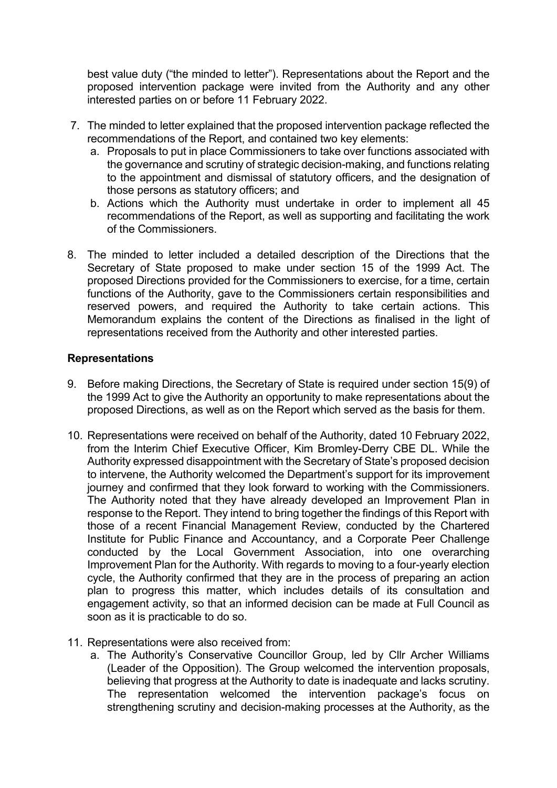best value duty ("the minded to letter"). Representations about the Report and the proposed intervention package were invited from the Authority and any other interested parties on or before 11 February 2022.

- 7. The minded to letter explained that the proposed intervention package reflected the recommendations of the Report, and contained two key elements:
	- a. Proposals to put in place Commissioners to take over functions associated with the governance and scrutiny of strategic decision-making, and functions relating to the appointment and dismissal of statutory officers, and the designation of those persons as statutory officers; and
	- b. Actions which the Authority must undertake in order to implement all 45 recommendations of the Report, as well as supporting and facilitating the work of the Commissioners.
- 8. The minded to letter included a detailed description of the Directions that the Secretary of State proposed to make under section 15 of the 1999 Act. The proposed Directions provided for the Commissioners to exercise, for a time, certain functions of the Authority, gave to the Commissioners certain responsibilities and reserved powers, and required the Authority to take certain actions. This Memorandum explains the content of the Directions as finalised in the light of representations received from the Authority and other interested parties.

## **Representations**

- 9. Before making Directions, the Secretary of State is required under section 15(9) of the 1999 Act to give the Authority an opportunity to make representations about the proposed Directions, as well as on the Report which served as the basis for them.
- 10. Representations were received on behalf of the Authority, dated 10 February 2022, from the Interim Chief Executive Officer, Kim Bromley-Derry CBE DL. While the Authority expressed disappointment with the Secretary of State's proposed decision to intervene, the Authority welcomed the Department's support for its improvement journey and confirmed that they look forward to working with the Commissioners. The Authority noted that they have already developed an Improvement Plan in response to the Report. They intend to bring together the findings of this Report with those of a recent Financial Management Review, conducted by the Chartered Institute for Public Finance and Accountancy, and a Corporate Peer Challenge conducted by the Local Government Association, into one overarching Improvement Plan for the Authority. With regards to moving to a four-yearly election cycle, the Authority confirmed that they are in the process of preparing an action plan to progress this matter, which includes details of its consultation and engagement activity, so that an informed decision can be made at Full Council as soon as it is practicable to do so.
- 11. Representations were also received from:
	- a. The Authority's Conservative Councillor Group, led by Cllr Archer Williams (Leader of the Opposition). The Group welcomed the intervention proposals, believing that progress at the Authority to date is inadequate and lacks scrutiny. The representation welcomed the intervention package's focus on strengthening scrutiny and decision-making processes at the Authority, as the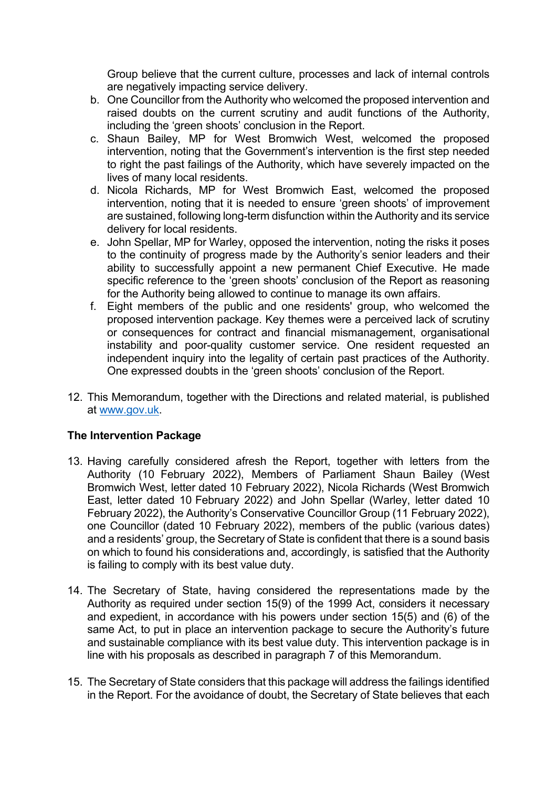Group believe that the current culture, processes and lack of internal controls are negatively impacting service delivery.

- b. One Councillor from the Authority who welcomed the proposed intervention and raised doubts on the current scrutiny and audit functions of the Authority, including the 'green shoots' conclusion in the Report.
- c. Shaun Bailey, MP for West Bromwich West, welcomed the proposed intervention, noting that the Government's intervention is the first step needed to right the past failings of the Authority, which have severely impacted on the lives of many local residents.
- d. Nicola Richards, MP for West Bromwich East, welcomed the proposed intervention, noting that it is needed to ensure 'green shoots' of improvement are sustained, following long-term disfunction within the Authority and its service delivery for local residents.
- e. John Spellar, MP for Warley, opposed the intervention, noting the risks it poses to the continuity of progress made by the Authority's senior leaders and their ability to successfully appoint a new permanent Chief Executive. He made specific reference to the 'green shoots' conclusion of the Report as reasoning for the Authority being allowed to continue to manage its own affairs.
- f. Eight members of the public and one residents' group, who welcomed the proposed intervention package. Key themes were a perceived lack of scrutiny or consequences for contract and financial mismanagement, organisational instability and poor-quality customer service. One resident requested an independent inquiry into the legality of certain past practices of the Authority. One expressed doubts in the 'green shoots' conclusion of the Report.
- 12. This Memorandum, together with the Directions and related material, is published at [www.gov.uk.](http://www.gov.uk/)

# **The Intervention Package**

- 13. Having carefully considered afresh the Report, together with letters from the Authority (10 February 2022), Members of Parliament Shaun Bailey (West Bromwich West, letter dated 10 February 2022), Nicola Richards (West Bromwich East, letter dated 10 February 2022) and John Spellar (Warley, letter dated 10 February 2022), the Authority's Conservative Councillor Group (11 February 2022), one Councillor (dated 10 February 2022), members of the public (various dates) and a residents' group, the Secretary of State is confident that there is a sound basis on which to found his considerations and, accordingly, is satisfied that the Authority is failing to comply with its best value duty.
- 14. The Secretary of State, having considered the representations made by the Authority as required under section 15(9) of the 1999 Act, considers it necessary and expedient, in accordance with his powers under section 15(5) and (6) of the same Act, to put in place an intervention package to secure the Authority's future and sustainable compliance with its best value duty. This intervention package is in line with his proposals as described in paragraph 7 of this Memorandum.
- 15. The Secretary of State considers that this package will address the failings identified in the Report. For the avoidance of doubt, the Secretary of State believes that each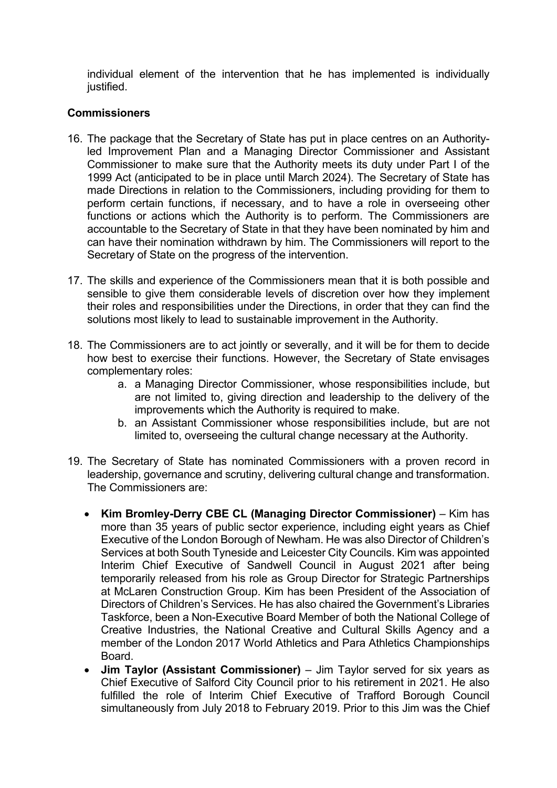individual element of the intervention that he has implemented is individually justified.

# **Commissioners**

- 16. The package that the Secretary of State has put in place centres on an Authorityled Improvement Plan and a Managing Director Commissioner and Assistant Commissioner to make sure that the Authority meets its duty under Part I of the 1999 Act (anticipated to be in place until March 2024). The Secretary of State has made Directions in relation to the Commissioners, including providing for them to perform certain functions, if necessary, and to have a role in overseeing other functions or actions which the Authority is to perform. The Commissioners are accountable to the Secretary of State in that they have been nominated by him and can have their nomination withdrawn by him. The Commissioners will report to the Secretary of State on the progress of the intervention.
- 17. The skills and experience of the Commissioners mean that it is both possible and sensible to give them considerable levels of discretion over how they implement their roles and responsibilities under the Directions, in order that they can find the solutions most likely to lead to sustainable improvement in the Authority.
- 18. The Commissioners are to act jointly or severally, and it will be for them to decide how best to exercise their functions. However, the Secretary of State envisages complementary roles:
	- a. a Managing Director Commissioner, whose responsibilities include, but are not limited to, giving direction and leadership to the delivery of the improvements which the Authority is required to make.
	- b. an Assistant Commissioner whose responsibilities include, but are not limited to, overseeing the cultural change necessary at the Authority.
- 19. The Secretary of State has nominated Commissioners with a proven record in leadership, governance and scrutiny, delivering cultural change and transformation. The Commissioners are:
	- **Kim Bromley-Derry CBE CL (Managing Director Commissioner)** Kim has more than 35 years of public sector experience, including eight years as Chief Executive of the London Borough of Newham. He was also Director of Children's Services at both South Tyneside and Leicester City Councils. Kim was appointed Interim Chief Executive of Sandwell Council in August 2021 after being temporarily released from his role as Group Director for Strategic Partnerships at McLaren Construction Group. Kim has been President of the Association of Directors of Children's Services. He has also chaired the Government's Libraries Taskforce, been a Non-Executive Board Member of both the National College of Creative Industries, the National Creative and Cultural Skills Agency and a member of the London 2017 World Athletics and Para Athletics Championships Board.
	- **Jim Taylor (Assistant Commissioner)**  Jim Taylor served for six years as Chief Executive of Salford City Council prior to his retirement in 2021. He also fulfilled the role of Interim Chief Executive of Trafford Borough Council simultaneously from July 2018 to February 2019. Prior to this Jim was the Chief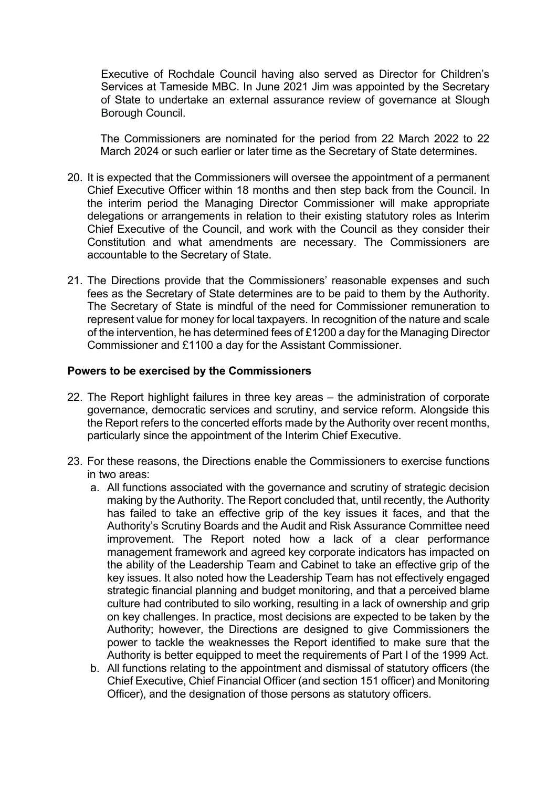Executive of Rochdale Council having also served as Director for Children's Services at Tameside MBC. In June 2021 Jim was appointed by the Secretary of State to undertake an external assurance review of governance at Slough Borough Council.

The Commissioners are nominated for the period from 22 March 2022 to 22 March 2024 or such earlier or later time as the Secretary of State determines.

- 20. It is expected that the Commissioners will oversee the appointment of a permanent Chief Executive Officer within 18 months and then step back from the Council. In the interim period the Managing Director Commissioner will make appropriate delegations or arrangements in relation to their existing statutory roles as Interim Chief Executive of the Council, and work with the Council as they consider their Constitution and what amendments are necessary. The Commissioners are accountable to the Secretary of State.
- 21. The Directions provide that the Commissioners' reasonable expenses and such fees as the Secretary of State determines are to be paid to them by the Authority. The Secretary of State is mindful of the need for Commissioner remuneration to represent value for money for local taxpayers. In recognition of the nature and scale of the intervention, he has determined fees of £1200 a day for the Managing Director Commissioner and £1100 a day for the Assistant Commissioner.

#### **Powers to be exercised by the Commissioners**

- 22. The Report highlight failures in three key areas the administration of corporate governance, democratic services and scrutiny, and service reform. Alongside this the Report refers to the concerted efforts made by the Authority over recent months, particularly since the appointment of the Interim Chief Executive.
- 23. For these reasons, the Directions enable the Commissioners to exercise functions in two areas:
	- a. All functions associated with the governance and scrutiny of strategic decision making by the Authority. The Report concluded that, until recently, the Authority has failed to take an effective grip of the key issues it faces, and that the Authority's Scrutiny Boards and the Audit and Risk Assurance Committee need improvement. The Report noted how a lack of a clear performance management framework and agreed key corporate indicators has impacted on the ability of the Leadership Team and Cabinet to take an effective grip of the key issues. It also noted how the Leadership Team has not effectively engaged strategic financial planning and budget monitoring, and that a perceived blame culture had contributed to silo working, resulting in a lack of ownership and grip on key challenges. In practice, most decisions are expected to be taken by the Authority; however, the Directions are designed to give Commissioners the power to tackle the weaknesses the Report identified to make sure that the Authority is better equipped to meet the requirements of Part I of the 1999 Act.
	- b. All functions relating to the appointment and dismissal of statutory officers (the Chief Executive, Chief Financial Officer (and section 151 officer) and Monitoring Officer), and the designation of those persons as statutory officers.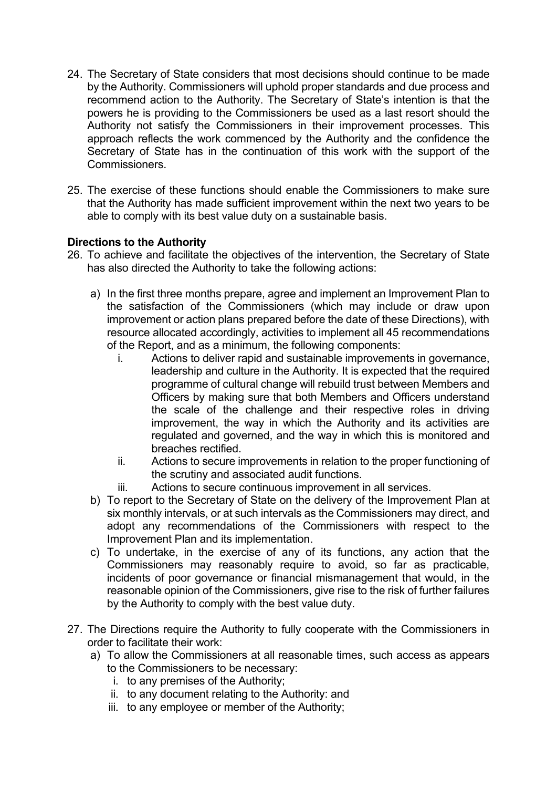- 24. The Secretary of State considers that most decisions should continue to be made by the Authority. Commissioners will uphold proper standards and due process and recommend action to the Authority. The Secretary of State's intention is that the powers he is providing to the Commissioners be used as a last resort should the Authority not satisfy the Commissioners in their improvement processes. This approach reflects the work commenced by the Authority and the confidence the Secretary of State has in the continuation of this work with the support of the Commissioners.
- 25. The exercise of these functions should enable the Commissioners to make sure that the Authority has made sufficient improvement within the next two years to be able to comply with its best value duty on a sustainable basis.

# **Directions to the Authority**

- 26. To achieve and facilitate the objectives of the intervention, the Secretary of State has also directed the Authority to take the following actions:
	- a) In the first three months prepare, agree and implement an Improvement Plan to the satisfaction of the Commissioners (which may include or draw upon improvement or action plans prepared before the date of these Directions), with resource allocated accordingly, activities to implement all 45 recommendations of the Report, and as a minimum, the following components:
		- i. Actions to deliver rapid and sustainable improvements in governance, leadership and culture in the Authority. It is expected that the required programme of cultural change will rebuild trust between Members and Officers by making sure that both Members and Officers understand the scale of the challenge and their respective roles in driving improvement, the way in which the Authority and its activities are regulated and governed, and the way in which this is monitored and breaches rectified.
		- ii. Actions to secure improvements in relation to the proper functioning of the scrutiny and associated audit functions.
		- iii. Actions to secure continuous improvement in all services.
	- b) To report to the Secretary of State on the delivery of the Improvement Plan at six monthly intervals, or at such intervals as the Commissioners may direct, and adopt any recommendations of the Commissioners with respect to the Improvement Plan and its implementation.
	- c) To undertake, in the exercise of any of its functions, any action that the Commissioners may reasonably require to avoid, so far as practicable, incidents of poor governance or financial mismanagement that would, in the reasonable opinion of the Commissioners, give rise to the risk of further failures by the Authority to comply with the best value duty.
- 27. The Directions require the Authority to fully cooperate with the Commissioners in order to facilitate their work:
	- a) To allow the Commissioners at all reasonable times, such access as appears to the Commissioners to be necessary:
		- i. to any premises of the Authority;
		- ii. to any document relating to the Authority: and
		- iii. to any employee or member of the Authority;